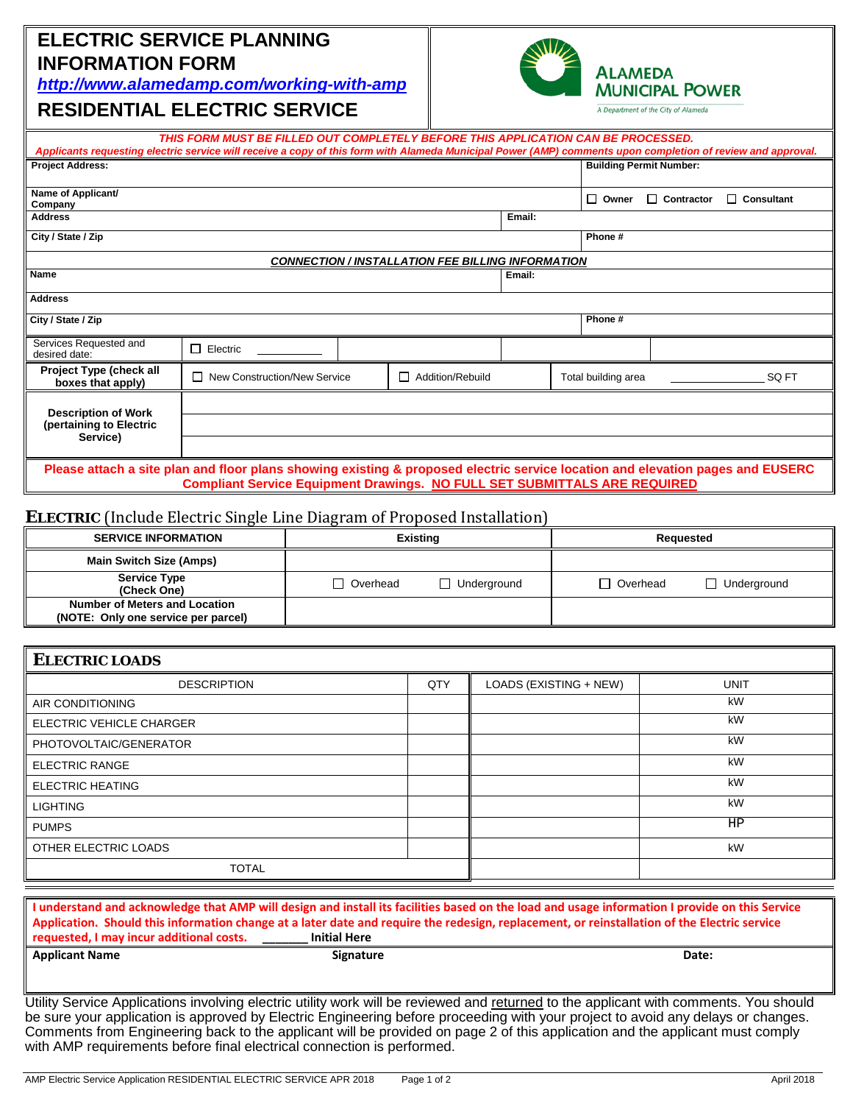# **[ELECTRIC SERVICE PLANNING INFORMATION FORM](http://www.alamedamp.com/working-with-amp)**

*http://www.alamedamp.com/working-with-amp*



**LAMEDA** 

**MUNICIPAL POWER** A Department of the City of Alameda

## **RESIDENTIAL ELECTRIC SERVICE**

| THIS FORM MUST BE FILLED OUT COMPLETELY BEFORE THIS APPLICATION CAN BE PROCESSED.<br>Applicants requesting electric service will receive a copy of this form with Alameda Municipal Power (AMP) comments upon completion of review and approval. |                                                              |  |  |  |                                |              |                   |                        |
|--------------------------------------------------------------------------------------------------------------------------------------------------------------------------------------------------------------------------------------------------|--------------------------------------------------------------|--|--|--|--------------------------------|--------------|-------------------|------------------------|
| <b>Project Address:</b>                                                                                                                                                                                                                          |                                                              |  |  |  | <b>Building Permit Number:</b> |              |                   |                        |
| Name of Applicant/<br>Company                                                                                                                                                                                                                    |                                                              |  |  |  |                                | $\Box$ Owner | $\Box$ Contractor | П<br><b>Consultant</b> |
| Email:<br><b>Address</b>                                                                                                                                                                                                                         |                                                              |  |  |  |                                |              |                   |                        |
| City / State / Zip                                                                                                                                                                                                                               |                                                              |  |  |  | Phone #                        |              |                   |                        |
|                                                                                                                                                                                                                                                  | <b>CONNECTION / INSTALLATION FEE BILLING INFORMATION</b>     |  |  |  |                                |              |                   |                        |
| <b>Name</b><br>Email:                                                                                                                                                                                                                            |                                                              |  |  |  |                                |              |                   |                        |
| <b>Address</b>                                                                                                                                                                                                                                   |                                                              |  |  |  |                                |              |                   |                        |
| City / State / Zip                                                                                                                                                                                                                               |                                                              |  |  |  |                                | Phone #      |                   |                        |
| Services Requested and<br>desired date:                                                                                                                                                                                                          | $\Box$ Electric                                              |  |  |  |                                |              |                   |                        |
| Project Type (check all<br>boxes that apply)                                                                                                                                                                                                     | $\Box$ New Construction/New Service<br>Addition/Rebuild<br>┐ |  |  |  | Total building area            |              | SQ FT             |                        |
| <b>Description of Work</b>                                                                                                                                                                                                                       |                                                              |  |  |  |                                |              |                   |                        |
| (pertaining to Electric                                                                                                                                                                                                                          |                                                              |  |  |  |                                |              |                   |                        |
| Service)                                                                                                                                                                                                                                         |                                                              |  |  |  |                                |              |                   |                        |
| Please attach a site plan and floor plans showing existing & proposed electric service location and elevation pages and EUSERC<br><b>Compliant Service Equipment Drawings. NO FULL SET SUBMITTALS ARE REQUIRED</b>                               |                                                              |  |  |  |                                |              |                   |                        |

#### **ELECTRIC** (Include Electric Single Line Diagram of Proposed Installation)

| <b>SERVICE INFORMATION</b>                                                  | <b>Existing</b> |                    | Requested |                               |  |
|-----------------------------------------------------------------------------|-----------------|--------------------|-----------|-------------------------------|--|
| <b>Main Switch Size (Amps)</b>                                              |                 |                    |           |                               |  |
| <b>Service Type</b><br>(Check One)                                          | □ Overhead      | $\Box$ Underground | Overhead  | Underground<br>$\blacksquare$ |  |
| <b>Number of Meters and Location</b><br>(NOTE: Only one service per parcel) |                 |                    |           |                               |  |

| <b>ELECTRIC LOADS</b>    |     |                        |             |  |  |
|--------------------------|-----|------------------------|-------------|--|--|
| <b>DESCRIPTION</b>       | QTY | LOADS (EXISTING + NEW) | <b>UNIT</b> |  |  |
| AIR CONDITIONING         |     |                        | kW          |  |  |
| ELECTRIC VEHICLE CHARGER |     |                        | kW          |  |  |
| PHOTOVOLTAIC/GENERATOR   |     |                        | kW          |  |  |
| ELECTRIC RANGE           |     |                        | kW          |  |  |
| <b>ELECTRIC HEATING</b>  |     |                        | kW          |  |  |
| <b>LIGHTING</b>          |     |                        | kW          |  |  |
| <b>PUMPS</b>             |     |                        | HP          |  |  |
| OTHER ELECTRIC LOADS     |     |                        | kW          |  |  |
| <b>TOTAL</b>             |     |                        |             |  |  |

**I understand and acknowledge that AMP will design and install its facilities based on the load and usage information I provide on this Service Application. Should this information change at a later date and require the redesign, replacement, or reinstallation of the Electric service requested, I may incur additional costs. \_\_\_\_\_\_\_ Initial Here**

**Applicant Name Signature Date:**

Utility Service Applications involving electric utility work will be reviewed and returned to the applicant with comments. You should be sure your application is approved by Electric Engineering before proceeding with your project to avoid any delays or changes. Comments from Engineering back to the applicant will be provided on page 2 of this application and the applicant must comply with AMP requirements before final electrical connection is performed.